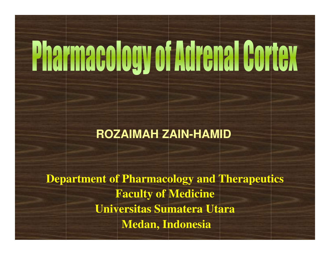# **Pharmacology of Adrenal Cortex**

#### **ROZAIMAH ZAIN-HAMID**

**Department of Pharmacology and TherapeuticsFaculty of MedicineUniversitas Sumatera UtaraMedan, Indonesia**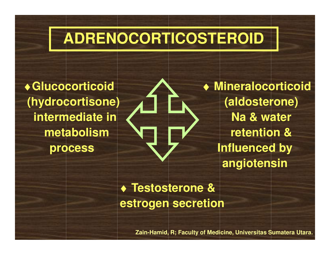### **ADRENOCORTICOSTEROID**

♦**Glucocorticoid (hydrocortisone)intermediate in metabolismprocess**

♦ **Mineralocorticoid (aldosterone)Na & water retention & Influenced by angiotensin**

♦ **Testosterone & estrogen secretion**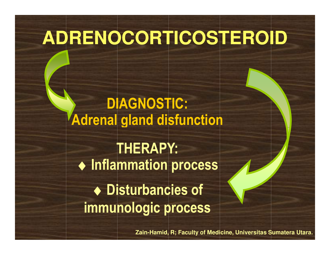### **ADRENOCORTICOSTEROID**

DIAGNOSTIC:Adrenal gland disfunction

THERAPY:♦ Inflammation process ♦ Disturbancies of immunologic process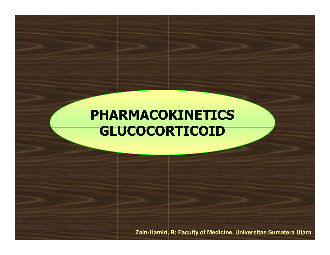#### PHARMACOKINETICSGLUCOCORTICOID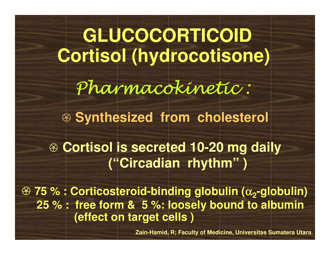**GLUCOCORTICOIDCortisol (hydrocotisone)**Pharmacokinetic : **Synthesized from cholesterol 75 % : Corticosteroid-binding globulin (**<sup>α</sup> **2-globulin) 25 % : free form & 5 %: loosely bound to albumin(effect on target cells )Cortisol is secreted 10-20 mg daily<br>
Cortisol is secreted 10-20 mg daily ("Circadian rhythm" )**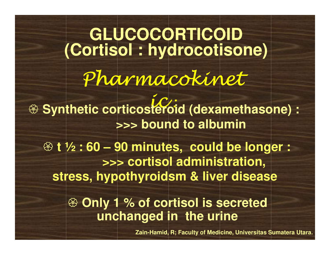Pharmacokineticeroi **GLUCOCORTICOID(Cortisol : hydrocotisone) <sup><sup><sup>3</sup> Synthetic corticosteroid (dexamethasone) :**<br>
sering to albumin</sup></sup> **>>> bound to albumin Only 1 % of cortisol is secreted unchanged in the urine t ½ : 60 – 90 minutes, could be longer : >>> cortisol administration, stress, hypothyroidsm & liver diseaseZain-Hamid, R; Faculty of Medicine, Universitas Sumatera Utara.**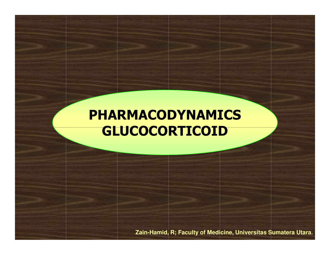#### PHARMACODYNAMICSGLUCOCORTICOID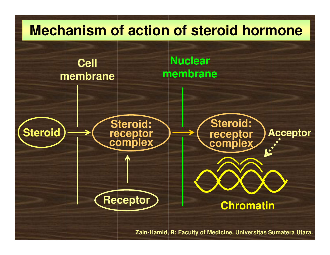### **SteroidCell membraneSteroid: receptor complexNuclear membraneSteroid:**receptor<br>complex **Acceptor Mechanism of action of steroid hormoneReceptorChromatin**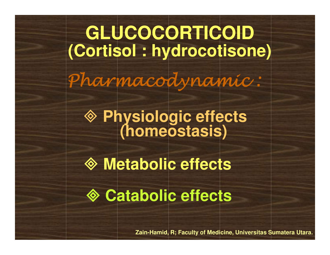**GLUCOCORTICOID(Cortisol : hydrocotisone)**Pharmacodynamic :

**Physiologic effects (homeostasis)**

**Metabolic effects**

**Catabolic effects**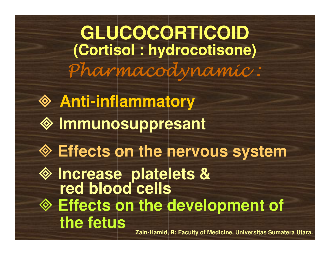**GLUCOCORTICOID(Cortisol : hydrocotisone)**Pharmacodynamic :

 **Anti-inflammatory Immunosuppresant Effects on the development of the fetusEffects on the nervous system Increase platelets & red blood cells**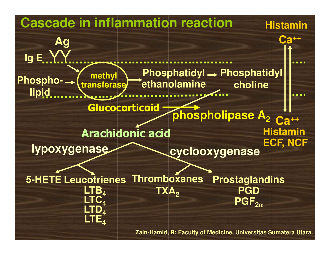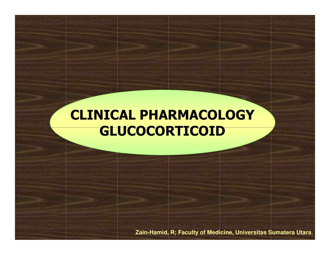#### CLINICAL PHARMACOLOGYGLUCOCORTICOID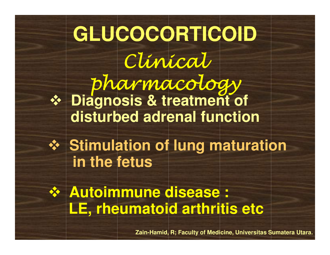### **Example 13 September 15 September 15 September 15 September 15 September 15 September 16 September 16 September 16 September 16 September 16 September 16 September 16 September 16 September 16 September 16 September 16 Se disturbed adrenal functionGLUCOCORTICOID**Clinical pharmacology **Example 15 Stimulation of lung maturation**<br>Stim the fetus **in the fetusExample of Sease:**<br> **THE Exhaumatoid arthritic LE, rheumatoid arthritis etc**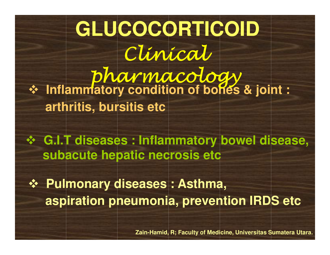- **Inflammatory condition of bones & joint : arthritis, bursitis etcGLUCOCORTICOID** Clinical pharmacology

**E.I.T diseases : Inflammatory bowel disease,**<br> **Subacute benatic pecrosis atc subacute hepatic necrosis etc**

**Example 28 Seases : Asthma, 30 Seases : Asthma, 30 Seasonal de Contractes aspiration pneumonia, prevention IRDS etc**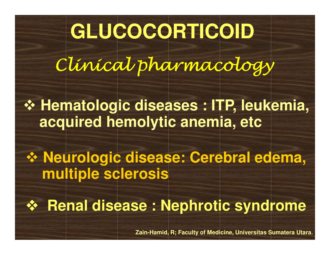### **GLUCOCORTICOID**

Clinical pharmacology

**Externatologic diseases : ITP, leukemia,<br>Seguired hemolytic anemia, etc. acquired hemolytic anemia, etc**

**Example 15 and Sease: Cerebral edema,<br>Seasonal propriety of the Contract of Season Contracts multiple sclerosis**

- **Renal disease : Nephrotic syndrome**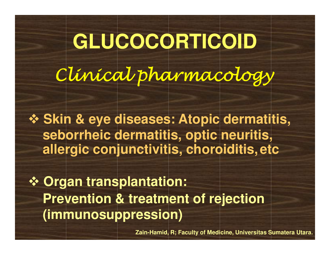**GLUCOCORTICOID** Clinical pharmacology

**External & Eye diseases: Atopic dermatitis,<br>Caborrheic dermatitis, ontic neuritis seborrheic dermatitis, optic neuritis,allergic conjunctivitis, choroiditis, etc**

**<sup>❖</sup> Organ transplantation:**<br>Provention <sup>0</sup> tractment **Prevention & treatment of rejection(immunosuppression)**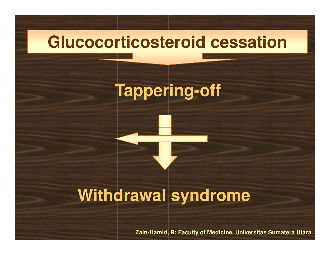### **Glucocorticosteroid cessation**

### **Tappering-off**

### **Withdrawal syndrome**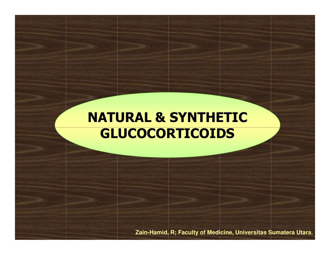#### NATURAL & SYNTHETICGLUCOCORTICOIDS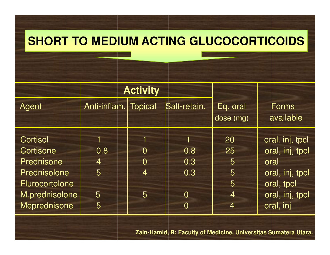#### **SHORT TO MEDIUM ACTING GLUCOCORTICOIDS**

|                       | <b>Activity</b>      |                       |                |                       |                                    |
|-----------------------|----------------------|-----------------------|----------------|-----------------------|------------------------------------|
| Agent                 | Anti-inflam. Topical |                       | Salt-retain.   | Eq. oral<br>dose (mg) | <b>Forms</b><br>available          |
| Cortisol<br>Cortisone | 0.8                  | TI.<br>$\overline{0}$ | 0.8            | 20<br>25              | oral. inj, tpcl<br>oral, inj, tpcl |
| <b>Prednisone</b>     | 4                    | $\overline{0}$        | 0.3            | 5                     | oral                               |
| Prednisolone          | 5                    | 4                     | 0.3            | 5                     | oral, inj, tpcl                    |
| Flurocortolone        |                      |                       |                | 5                     | oral, tpcl                         |
| M.prednisolone        | 5                    | 5                     | $\overline{0}$ | $\overline{4}$        | oral, inj, tpcl                    |
| Meprednisone          | 5                    |                       | $\overline{0}$ | 4                     | oral, inj                          |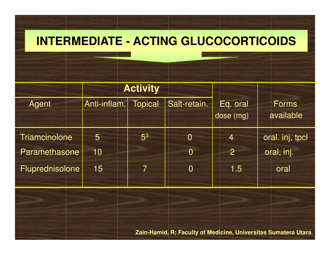#### **INTERMEDIATE - ACTING GLUCOCORTICOIDS**

|                 | <b>Activity</b> |                |                |                       |                           |
|-----------------|-----------------|----------------|----------------|-----------------------|---------------------------|
| Agent           | Anti-inflam.    | <b>Topical</b> | Salt-retain.   | Eq. oral<br>dose (mg) | <b>Forms</b><br>available |
| Triamcinolone   | 5               | 5 <sup>3</sup> | $\overline{0}$ | 4                     | oral. inj, tpcl           |
| Paramethasone   | 10              |                | $\overline{0}$ | $\overline{2}$        | oral, inj.                |
| Fluprednisolone | 15              | 7              | $\overline{0}$ | 1.5                   | oral                      |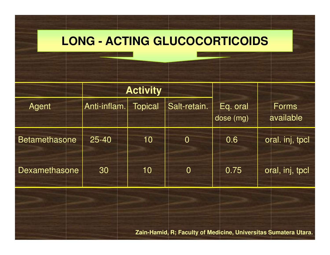#### **LONG - ACTING GLUCOCORTICOIDS**

|                      |              | <b>Activity</b> |                |                       |                           |
|----------------------|--------------|-----------------|----------------|-----------------------|---------------------------|
| Agent                | Anti-inflam. | <b>Topical</b>  | Salt-retain.   | Eq. oral<br>dose (mg) | <b>Forms</b><br>available |
| <b>Betamethasone</b> | $25 - 40$    | 10              | $\overline{0}$ | 0.6                   | oral. inj, tpcl           |
| Dexamethasone        | 30           | 10              | $\overline{0}$ | 0.75                  | oral, inj, tpcl           |
|                      |              |                 |                |                       |                           |
|                      |              |                 |                |                       |                           |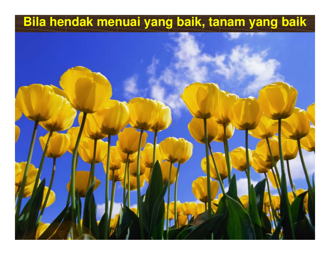#### **Bila hendak menuai yang baik, tanam yang baik**

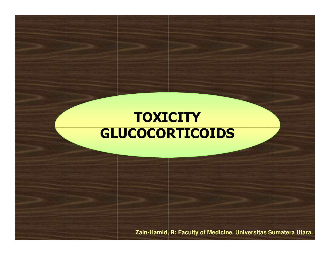#### **TOXICITY** GLUCOCORTICOIDS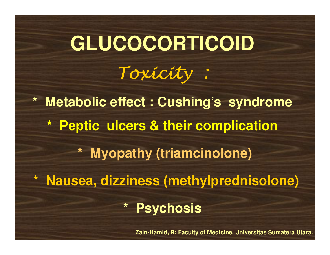## **GLUCOCORTICOID**Toxicity :

**\* Metabolic effect : Cushing's syndrome\* Peptic ulcers & their complication\* Myopathy (triamcinolone)\* Nausea, dizziness (methylprednisolone)\* Psychosis**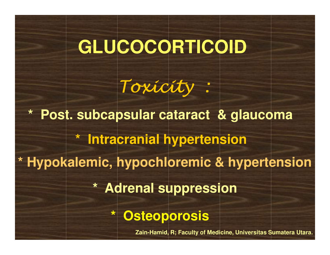### **GLUCOCORTICOID**

Toxicity :

**\* Post. subcapsular cataract & glaucoma\* Adrenal suppression\* Intracranial hypertension\* Hypokalemic, hypochloremic & hypertension\* Osteoporosis**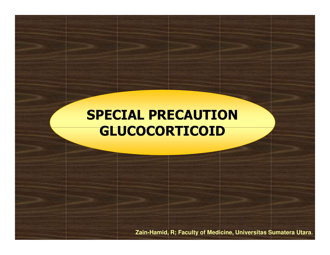#### SPECIAL PRECAUTIONGLUCOCORTICOID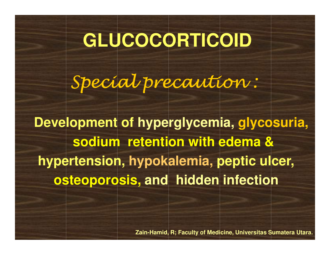### **GLUCOCORTICOID**

Special precaution :

**Development of hyperglycemia, glycosuria, sodium retention with edema & hypertension, hypokalemia, peptic ulcer, osteoporosis, and hidden infection**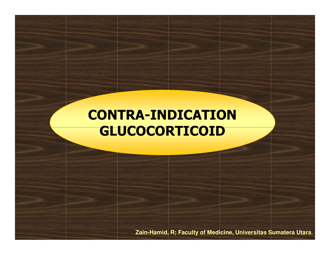#### CONTRA-INDICATIONGLUCOCORTICOID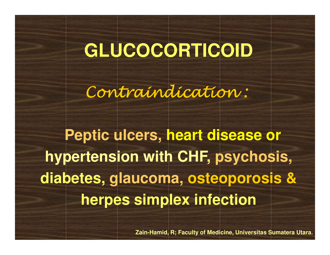### **GLUCOCORTICOID**

Contraindication :

**Peptic ulcers, heart disease orhypertension with CHF, psychosis, diabetes, glaucoma, osteoporosis &herpes simplex infection**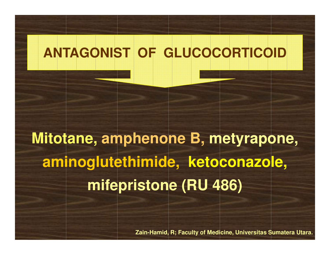**Mitotane, amphenone B, metyrapone, aminoglutethimide, ketoconazole, mifepristone (RU 486)**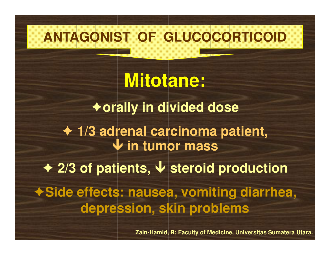**Mitotane:**-**orally in divided dose**- **1/3 adrenal carcinoma patient, in tumor mass**  ◆ 2/3 of patients, ↓ steroid production -**Side effects: nausea, vomiting diarrhea, depression, skin problems**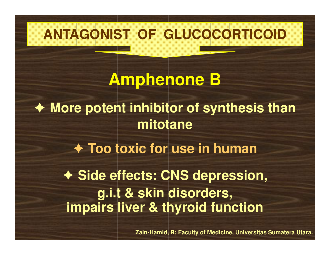**Amphenone B**- **More potent inhibitor of synthesis than mitotane**

- **Too toxic for use in human**

- **Side effects: CNS depression, g.i.t & skin disorders,impairs liver & thyroid function**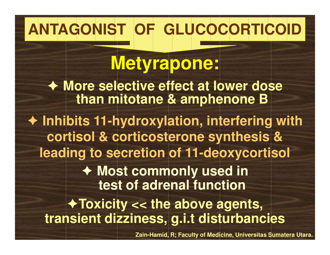### **Metyrapone:**

- **More selective effect at lower dose than mitotane & amphenone B**

- **Inhibits 11-hydroxylation, interfering with cortisol & corticosterone synthesis & leading to secretion of 11-deoxycortisol** 

> - **Most commonly used in test of adrenal function**

-**Toxicity << the above agents, transient dizziness, g.i.t disturbancies**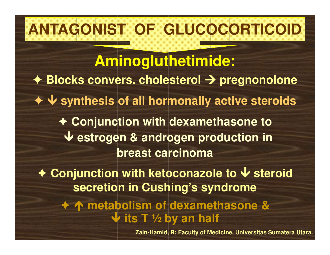**Aminogluthetimide:**◆ Blocks convers. cholesterol **→** pregnonolone<br>-- **synthesis of all hormonally active steroids** - **Conjunction with dexamethasone to estrogen & androgen production in breast carcinoma**◆ Conjunction with ketoconazole to ↓ steroid →<br> **Conting in Cushing's syndrome secretion in Cushing's syndrome**  $\blacklozenge$ **→ ↑ metabolism of dexamethasone &**<br>alte T 1/2 by an half **its T** 1/2 by an half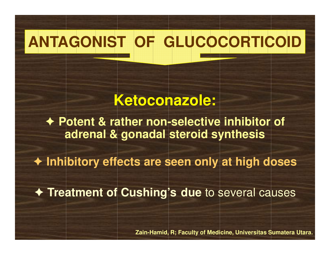#### **Ketoconazole:**

- **Potent & rather non-selective inhibitor of adrenal & gonadal steroid synthesis**

- **Inhibitory effects are seen only at high doses**

- **Treatment of Cushing's due** to several causes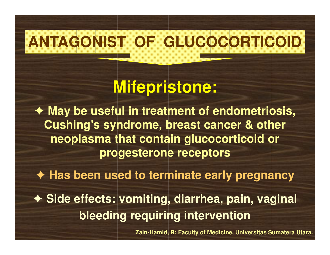### **Mifepristone:**

**★ May be useful in treatment of endometriosis,**<br>
Cushing's syndromo, hroast cancer & other **Cushing's syndrome, breast cancer & other neoplasma that contain glucocorticoid or progesterone receptors**

- **Has been used to terminate early pregnancy**

- **Side effects: vomiting, diarrhea, pain, vaginal bleeding requiring intervention**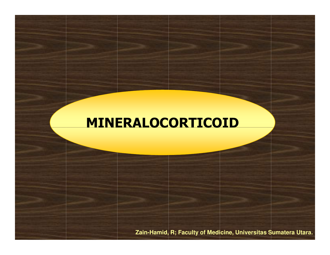#### MINERALOCORTICOID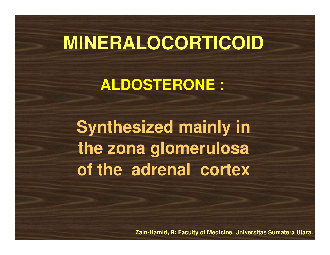### **MINERALOCORTICOID**

**ALDOSTERONE :**

**Synthesized mainly in the zona glomerulosaof the adrenal cortex**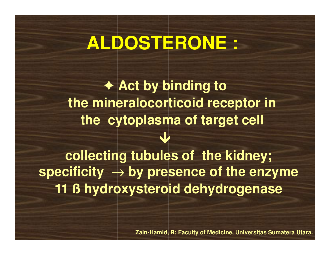### **ALDOSTERONE :**

**← Act by binding to**<br>ineralesertiesid reso **the mineralocorticoid receptor in the cytoplasma of target cell**  $\bigvee$ **collecting tubules of the kidney;** 

**specificity** → **by presence of the enzyme 11 ß hydroxysteroid dehydrogenase**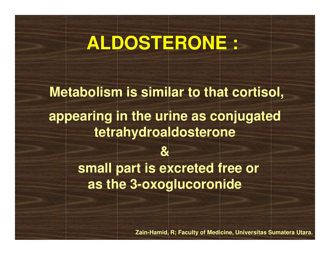### **ALDOSTERONE :**

**Metabolism is similar to that cortisol,appearing in the urine as conjugated tetrahydroaldosterone& small part is excreted free or as the 3-oxoglucoronide**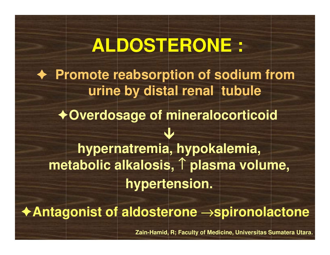### **ALDOSTERONE :**- **Promote reabsorption of sodium from urine by distal renal tubule**-**Overdosage of mineralocorticoid** $\blacklozenge$ -**Antagonist of aldosterone** →**spironolactonehypernatremia, hypokalemia, metabolic alkalosis,** ↑ **plasma volume, hypertension.**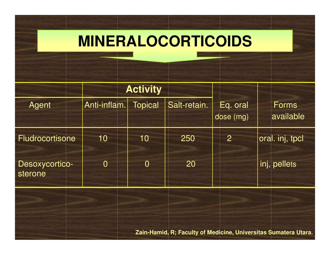### **MINERALOCORTICOIDS**

|                                  | <b>Activity</b> |                |              |                       |                           |
|----------------------------------|-----------------|----------------|--------------|-----------------------|---------------------------|
| <b>Agent</b>                     | Anti-inflam.    | <b>Topical</b> | Salt-retain. | Eq. oral<br>dose (mg) | <b>Forms</b><br>available |
| <b>Fludrocortisone</b>           | 10              | 10             | 250          | $\overline{2}$        | oral. inj, tpcl           |
| <b>Desoxycortico-</b><br>sterone | $\overline{0}$  | $\overline{0}$ | 20           |                       | inj, pellets              |
|                                  |                 |                |              |                       |                           |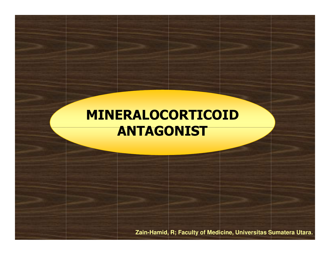#### MINERALOCORTICOIDANTAGONIST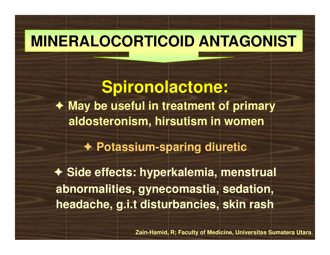### **MINERALOCORTICOID ANTAGONIST**

**Spironolactone:**- **May be useful in treatment of primary aldosteronism, hirsutism in women**

- **Potassium-sparing diuretic** 

- **Side effects: hyperkalemia, menstrual abnormalities, gynecomastia, sedation, headache, g.i.t disturbancies, skin rash**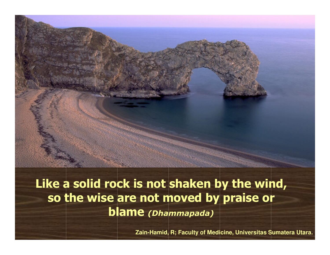

Like a solid rock is not shaken by the wind, so the wise are not moved by praise or blame (Dhammapada)